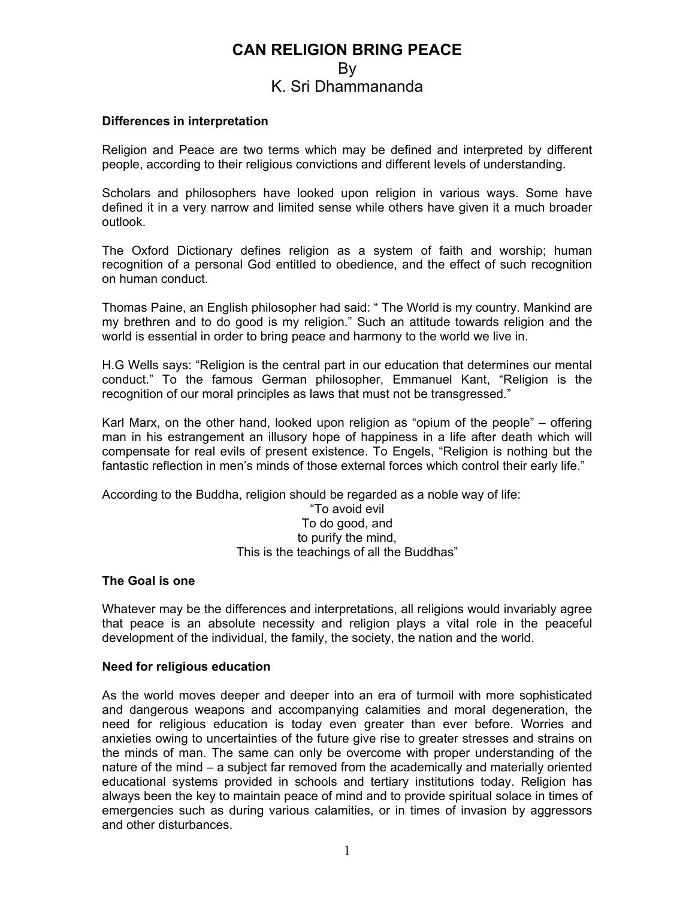# **CAN RELIGION BRING PEACE**  By K. Sri Dhammananda

### **Differences in interpretation**

Religion and Peace are two terms which may be defined and interpreted by different people, according to their religious convictions and different levels of understanding.

Scholars and philosophers have looked upon religion in various ways. Some have defined it in a very narrow and limited sense while others have given it a much broader outlook.

The Oxford Dictionary defines religion as a system of faith and worship; human recognition of a personal God entitled to obedience, and the effect of such recognition on human conduct.

Thomas Paine, an English philosopher had said: " The World is my country. Mankind are my brethren and to do good is my religion." Such an attitude towards religion and the world is essential in order to bring peace and harmony to the world we live in.

H.G Wells says: "Religion is the central part in our education that determines our mental conduct." To the famous German philosopher, Emmanuel Kant, "Religion is the recognition of our moral principles as laws that must not be transgressed."

Karl Marx, on the other hand, looked upon religion as "opium of the people" – offering man in his estrangement an illusory hope of happiness in a life after death which will compensate for real evils of present existence. To Engels, "Religion is nothing but the fantastic reflection in men's minds of those external forces which control their early life."

According to the Buddha, religion should be regarded as a noble way of life:

### "To avoid evil To do good, and to purify the mind, This is the teachings of all the Buddhas"

## **The Goal is one**

Whatever may be the differences and interpretations, all religions would invariably agree that peace is an absolute necessity and religion plays a vital role in the peaceful development of the individual, the family, the society, the nation and the world.

### **Need for religious education**

As the world moves deeper and deeper into an era of turmoil with more sophisticated and dangerous weapons and accompanying calamities and moral degeneration, the need for religious education is today even greater than ever before. Worries and anxieties owing to uncertainties of the future give rise to greater stresses and strains on the minds of man. The same can only be overcome with proper understanding of the nature of the mind – a subject far removed from the academically and materially oriented educational systems provided in schools and tertiary institutions today. Religion has always been the key to maintain peace of mind and to provide spiritual solace in times of emergencies such as during various calamities, or in times of invasion by aggressors and other disturbances.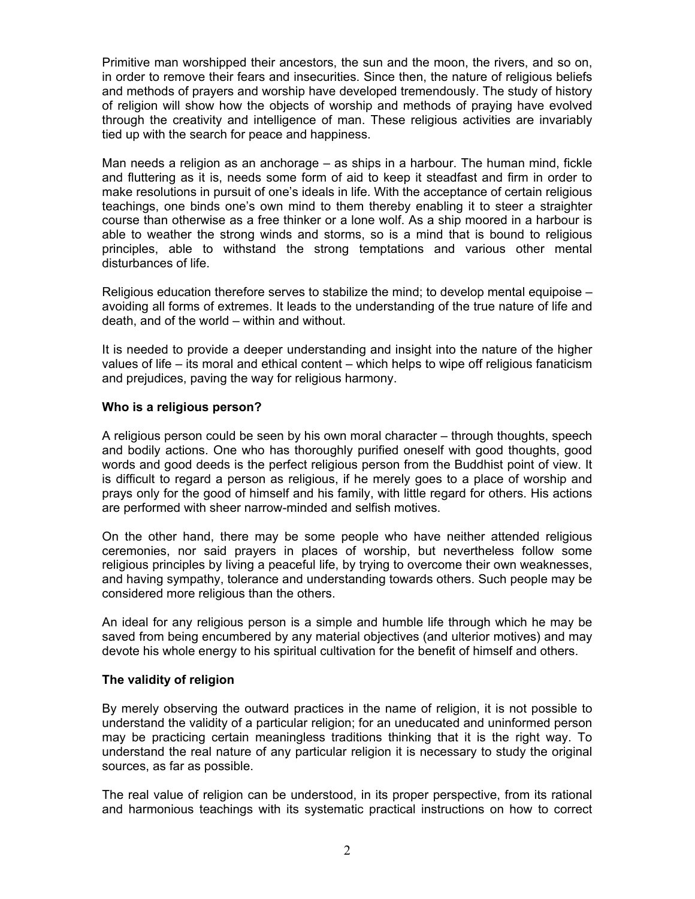Primitive man worshipped their ancestors, the sun and the moon, the rivers, and so on, in order to remove their fears and insecurities. Since then, the nature of religious beliefs and methods of prayers and worship have developed tremendously. The study of history of religion will show how the objects of worship and methods of praying have evolved through the creativity and intelligence of man. These religious activities are invariably tied up with the search for peace and happiness.

Man needs a religion as an anchorage – as ships in a harbour. The human mind, fickle and fluttering as it is, needs some form of aid to keep it steadfast and firm in order to make resolutions in pursuit of one's ideals in life. With the acceptance of certain religious teachings, one binds one's own mind to them thereby enabling it to steer a straighter course than otherwise as a free thinker or a lone wolf. As a ship moored in a harbour is able to weather the strong winds and storms, so is a mind that is bound to religious principles, able to withstand the strong temptations and various other mental disturbances of life.

Religious education therefore serves to stabilize the mind; to develop mental equipoise – avoiding all forms of extremes. It leads to the understanding of the true nature of life and death, and of the world – within and without.

It is needed to provide a deeper understanding and insight into the nature of the higher values of life – its moral and ethical content – which helps to wipe off religious fanaticism and prejudices, paving the way for religious harmony.

# **Who is a religious person?**

A religious person could be seen by his own moral character – through thoughts, speech and bodily actions. One who has thoroughly purified oneself with good thoughts, good words and good deeds is the perfect religious person from the Buddhist point of view. It is difficult to regard a person as religious, if he merely goes to a place of worship and prays only for the good of himself and his family, with little regard for others. His actions are performed with sheer narrow-minded and selfish motives.

On the other hand, there may be some people who have neither attended religious ceremonies, nor said prayers in places of worship, but nevertheless follow some religious principles by living a peaceful life, by trying to overcome their own weaknesses, and having sympathy, tolerance and understanding towards others. Such people may be considered more religious than the others.

An ideal for any religious person is a simple and humble life through which he may be saved from being encumbered by any material objectives (and ulterior motives) and may devote his whole energy to his spiritual cultivation for the benefit of himself and others.

### **The validity of religion**

By merely observing the outward practices in the name of religion, it is not possible to understand the validity of a particular religion; for an uneducated and uninformed person may be practicing certain meaningless traditions thinking that it is the right way. To understand the real nature of any particular religion it is necessary to study the original sources, as far as possible.

The real value of religion can be understood, in its proper perspective, from its rational and harmonious teachings with its systematic practical instructions on how to correct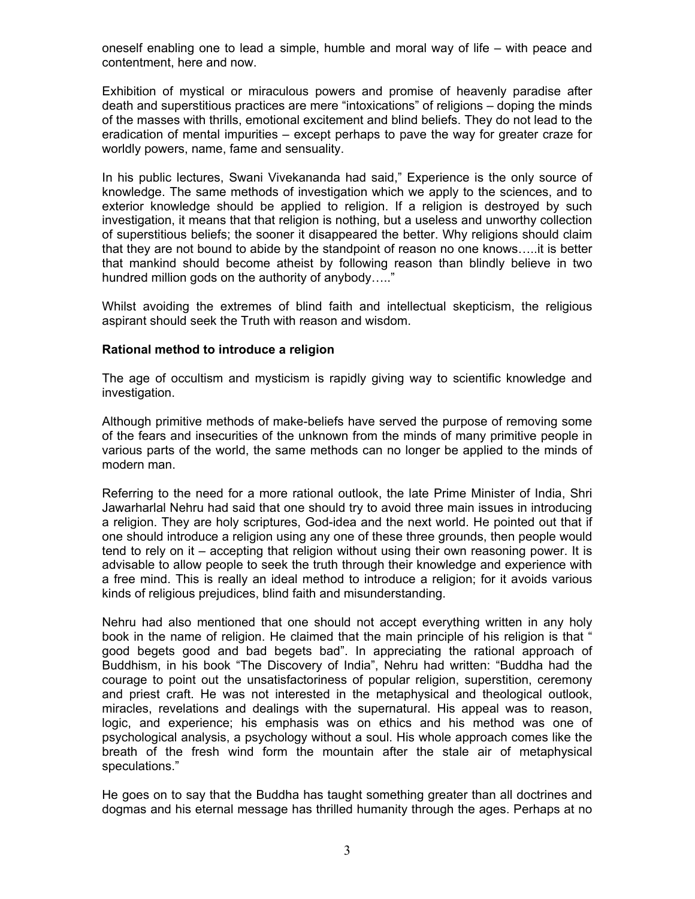oneself enabling one to lead a simple, humble and moral way of life – with peace and contentment, here and now.

Exhibition of mystical or miraculous powers and promise of heavenly paradise after death and superstitious practices are mere "intoxications" of religions – doping the minds of the masses with thrills, emotional excitement and blind beliefs. They do not lead to the eradication of mental impurities – except perhaps to pave the way for greater craze for worldly powers, name, fame and sensuality.

In his public lectures, Swani Vivekananda had said," Experience is the only source of knowledge. The same methods of investigation which we apply to the sciences, and to exterior knowledge should be applied to religion. If a religion is destroyed by such investigation, it means that that religion is nothing, but a useless and unworthy collection of superstitious beliefs; the sooner it disappeared the better. Why religions should claim that they are not bound to abide by the standpoint of reason no one knows…..it is better that mankind should become atheist by following reason than blindly believe in two hundred million gods on the authority of anybody….."

Whilst avoiding the extremes of blind faith and intellectual skepticism, the religious aspirant should seek the Truth with reason and wisdom.

## **Rational method to introduce a religion**

The age of occultism and mysticism is rapidly giving way to scientific knowledge and investigation.

Although primitive methods of make-beliefs have served the purpose of removing some of the fears and insecurities of the unknown from the minds of many primitive people in various parts of the world, the same methods can no longer be applied to the minds of modern man.

Referring to the need for a more rational outlook, the late Prime Minister of India, Shri Jawarharlal Nehru had said that one should try to avoid three main issues in introducing a religion. They are holy scriptures, God-idea and the next world. He pointed out that if one should introduce a religion using any one of these three grounds, then people would tend to rely on it – accepting that religion without using their own reasoning power. It is advisable to allow people to seek the truth through their knowledge and experience with a free mind. This is really an ideal method to introduce a religion; for it avoids various kinds of religious prejudices, blind faith and misunderstanding.

Nehru had also mentioned that one should not accept everything written in any holy book in the name of religion. He claimed that the main principle of his religion is that " good begets good and bad begets bad". In appreciating the rational approach of Buddhism, in his book "The Discovery of India", Nehru had written: "Buddha had the courage to point out the unsatisfactoriness of popular religion, superstition, ceremony and priest craft. He was not interested in the metaphysical and theological outlook, miracles, revelations and dealings with the supernatural. His appeal was to reason, logic, and experience; his emphasis was on ethics and his method was one of psychological analysis, a psychology without a soul. His whole approach comes like the breath of the fresh wind form the mountain after the stale air of metaphysical speculations."

He goes on to say that the Buddha has taught something greater than all doctrines and dogmas and his eternal message has thrilled humanity through the ages. Perhaps at no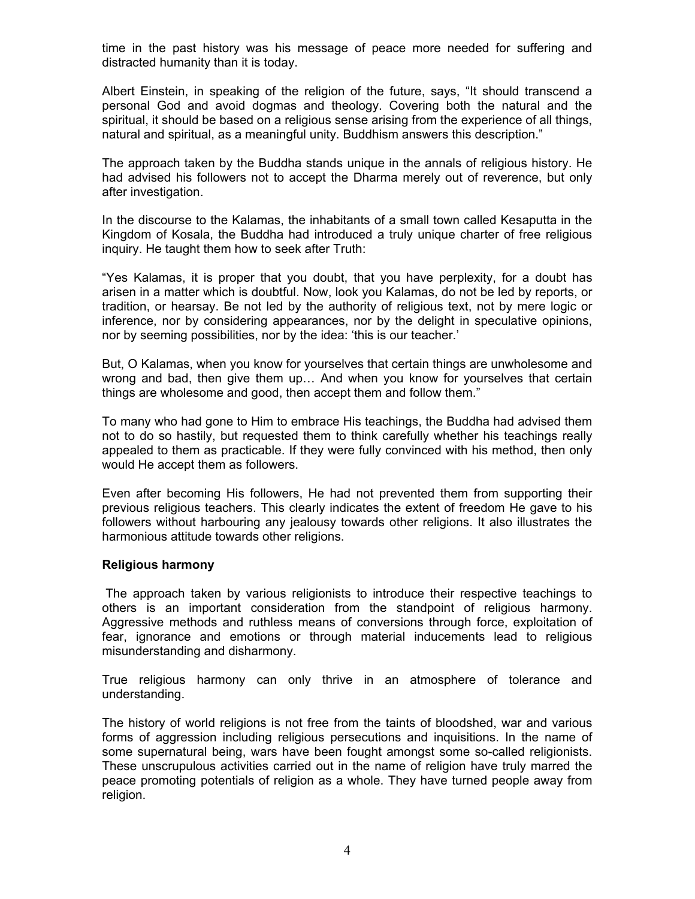time in the past history was his message of peace more needed for suffering and distracted humanity than it is today.

Albert Einstein, in speaking of the religion of the future, says, "It should transcend a personal God and avoid dogmas and theology. Covering both the natural and the spiritual, it should be based on a religious sense arising from the experience of all things, natural and spiritual, as a meaningful unity. Buddhism answers this description."

The approach taken by the Buddha stands unique in the annals of religious history. He had advised his followers not to accept the Dharma merely out of reverence, but only after investigation.

In the discourse to the Kalamas, the inhabitants of a small town called Kesaputta in the Kingdom of Kosala, the Buddha had introduced a truly unique charter of free religious inquiry. He taught them how to seek after Truth:

"Yes Kalamas, it is proper that you doubt, that you have perplexity, for a doubt has arisen in a matter which is doubtful. Now, look you Kalamas, do not be led by reports, or tradition, or hearsay. Be not led by the authority of religious text, not by mere logic or inference, nor by considering appearances, nor by the delight in speculative opinions, nor by seeming possibilities, nor by the idea: 'this is our teacher.'

But, O Kalamas, when you know for yourselves that certain things are unwholesome and wrong and bad, then give them up… And when you know for yourselves that certain things are wholesome and good, then accept them and follow them."

To many who had gone to Him to embrace His teachings, the Buddha had advised them not to do so hastily, but requested them to think carefully whether his teachings really appealed to them as practicable. If they were fully convinced with his method, then only would He accept them as followers.

Even after becoming His followers, He had not prevented them from supporting their previous religious teachers. This clearly indicates the extent of freedom He gave to his followers without harbouring any jealousy towards other religions. It also illustrates the harmonious attitude towards other religions.

### **Religious harmony**

The approach taken by various religionists to introduce their respective teachings to others is an important consideration from the standpoint of religious harmony. Aggressive methods and ruthless means of conversions through force, exploitation of fear, ignorance and emotions or through material inducements lead to religious misunderstanding and disharmony.

True religious harmony can only thrive in an atmosphere of tolerance and understanding.

The history of world religions is not free from the taints of bloodshed, war and various forms of aggression including religious persecutions and inquisitions. In the name of some supernatural being, wars have been fought amongst some so-called religionists. These unscrupulous activities carried out in the name of religion have truly marred the peace promoting potentials of religion as a whole. They have turned people away from religion.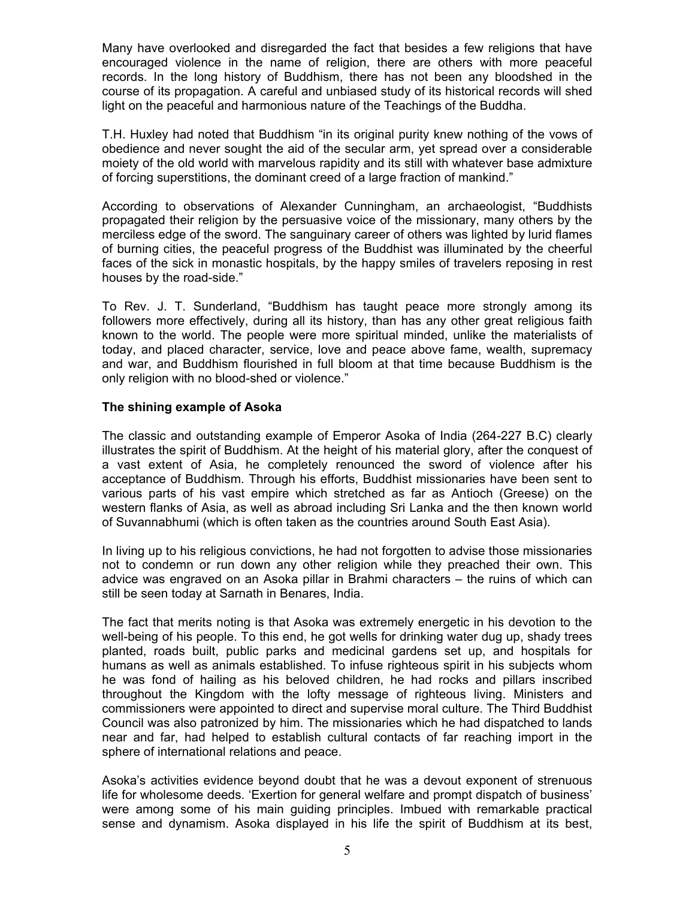Many have overlooked and disregarded the fact that besides a few religions that have encouraged violence in the name of religion, there are others with more peaceful records. In the long history of Buddhism, there has not been any bloodshed in the course of its propagation. A careful and unbiased study of its historical records will shed light on the peaceful and harmonious nature of the Teachings of the Buddha.

T.H. Huxley had noted that Buddhism "in its original purity knew nothing of the vows of obedience and never sought the aid of the secular arm, yet spread over a considerable moiety of the old world with marvelous rapidity and its still with whatever base admixture of forcing superstitions, the dominant creed of a large fraction of mankind."

According to observations of Alexander Cunningham, an archaeologist, "Buddhists propagated their religion by the persuasive voice of the missionary, many others by the merciless edge of the sword. The sanguinary career of others was lighted by lurid flames of burning cities, the peaceful progress of the Buddhist was illuminated by the cheerful faces of the sick in monastic hospitals, by the happy smiles of travelers reposing in rest houses by the road-side."

To Rev. J. T. Sunderland, "Buddhism has taught peace more strongly among its followers more effectively, during all its history, than has any other great religious faith known to the world. The people were more spiritual minded, unlike the materialists of today, and placed character, service, love and peace above fame, wealth, supremacy and war, and Buddhism flourished in full bloom at that time because Buddhism is the only religion with no blood-shed or violence."

# **The shining example of Asoka**

The classic and outstanding example of Emperor Asoka of India (264-227 B.C) clearly illustrates the spirit of Buddhism. At the height of his material glory, after the conquest of a vast extent of Asia, he completely renounced the sword of violence after his acceptance of Buddhism. Through his efforts, Buddhist missionaries have been sent to various parts of his vast empire which stretched as far as Antioch (Greese) on the western flanks of Asia, as well as abroad including Sri Lanka and the then known world of Suvannabhumi (which is often taken as the countries around South East Asia).

In living up to his religious convictions, he had not forgotten to advise those missionaries not to condemn or run down any other religion while they preached their own. This advice was engraved on an Asoka pillar in Brahmi characters – the ruins of which can still be seen today at Sarnath in Benares, India.

The fact that merits noting is that Asoka was extremely energetic in his devotion to the well-being of his people. To this end, he got wells for drinking water dug up, shady trees planted, roads built, public parks and medicinal gardens set up, and hospitals for humans as well as animals established. To infuse righteous spirit in his subjects whom he was fond of hailing as his beloved children, he had rocks and pillars inscribed throughout the Kingdom with the lofty message of righteous living. Ministers and commissioners were appointed to direct and supervise moral culture. The Third Buddhist Council was also patronized by him. The missionaries which he had dispatched to lands near and far, had helped to establish cultural contacts of far reaching import in the sphere of international relations and peace.

Asoka's activities evidence beyond doubt that he was a devout exponent of strenuous life for wholesome deeds. 'Exertion for general welfare and prompt dispatch of business' were among some of his main guiding principles. Imbued with remarkable practical sense and dynamism. Asoka displayed in his life the spirit of Buddhism at its best,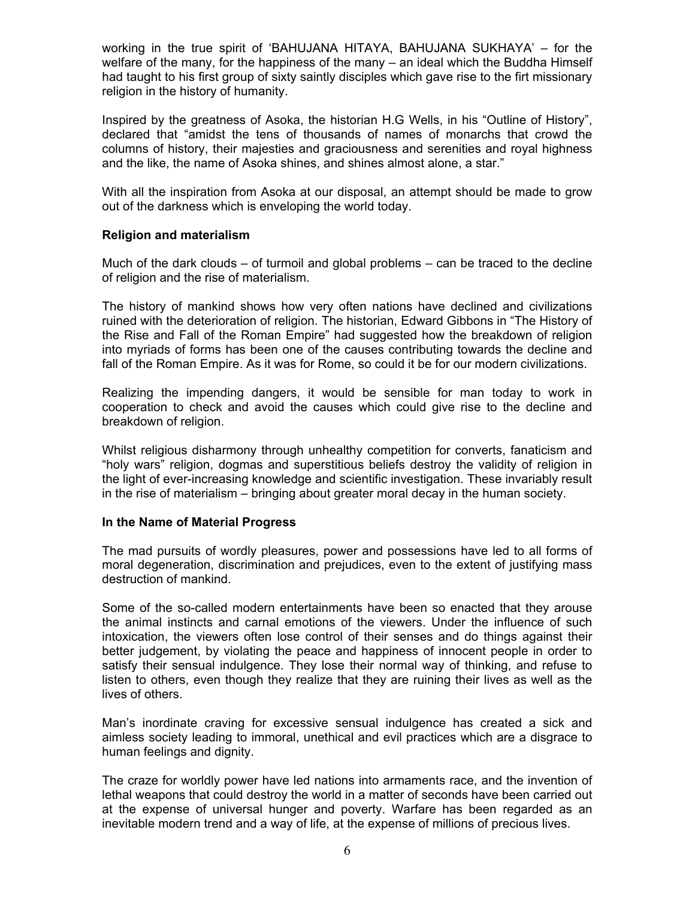working in the true spirit of 'BAHUJANA HITAYA, BAHUJANA SUKHAYA' – for the welfare of the many, for the happiness of the many – an ideal which the Buddha Himself had taught to his first group of sixty saintly disciples which gave rise to the firt missionary religion in the history of humanity.

Inspired by the greatness of Asoka, the historian H.G Wells, in his "Outline of History", declared that "amidst the tens of thousands of names of monarchs that crowd the columns of history, their majesties and graciousness and serenities and royal highness and the like, the name of Asoka shines, and shines almost alone, a star."

With all the inspiration from Asoka at our disposal, an attempt should be made to grow out of the darkness which is enveloping the world today.

## **Religion and materialism**

Much of the dark clouds – of turmoil and global problems – can be traced to the decline of religion and the rise of materialism.

The history of mankind shows how very often nations have declined and civilizations ruined with the deterioration of religion. The historian, Edward Gibbons in "The History of the Rise and Fall of the Roman Empire" had suggested how the breakdown of religion into myriads of forms has been one of the causes contributing towards the decline and fall of the Roman Empire. As it was for Rome, so could it be for our modern civilizations.

Realizing the impending dangers, it would be sensible for man today to work in cooperation to check and avoid the causes which could give rise to the decline and breakdown of religion.

Whilst religious disharmony through unhealthy competition for converts, fanaticism and "holy wars" religion, dogmas and superstitious beliefs destroy the validity of religion in the light of ever-increasing knowledge and scientific investigation. These invariably result in the rise of materialism – bringing about greater moral decay in the human society.

### **In the Name of Material Progress**

The mad pursuits of wordly pleasures, power and possessions have led to all forms of moral degeneration, discrimination and prejudices, even to the extent of justifying mass destruction of mankind.

Some of the so-called modern entertainments have been so enacted that they arouse the animal instincts and carnal emotions of the viewers. Under the influence of such intoxication, the viewers often lose control of their senses and do things against their better judgement, by violating the peace and happiness of innocent people in order to satisfy their sensual indulgence. They lose their normal way of thinking, and refuse to listen to others, even though they realize that they are ruining their lives as well as the lives of others.

Man's inordinate craving for excessive sensual indulgence has created a sick and aimless society leading to immoral, unethical and evil practices which are a disgrace to human feelings and dignity.

The craze for worldly power have led nations into armaments race, and the invention of lethal weapons that could destroy the world in a matter of seconds have been carried out at the expense of universal hunger and poverty. Warfare has been regarded as an inevitable modern trend and a way of life, at the expense of millions of precious lives.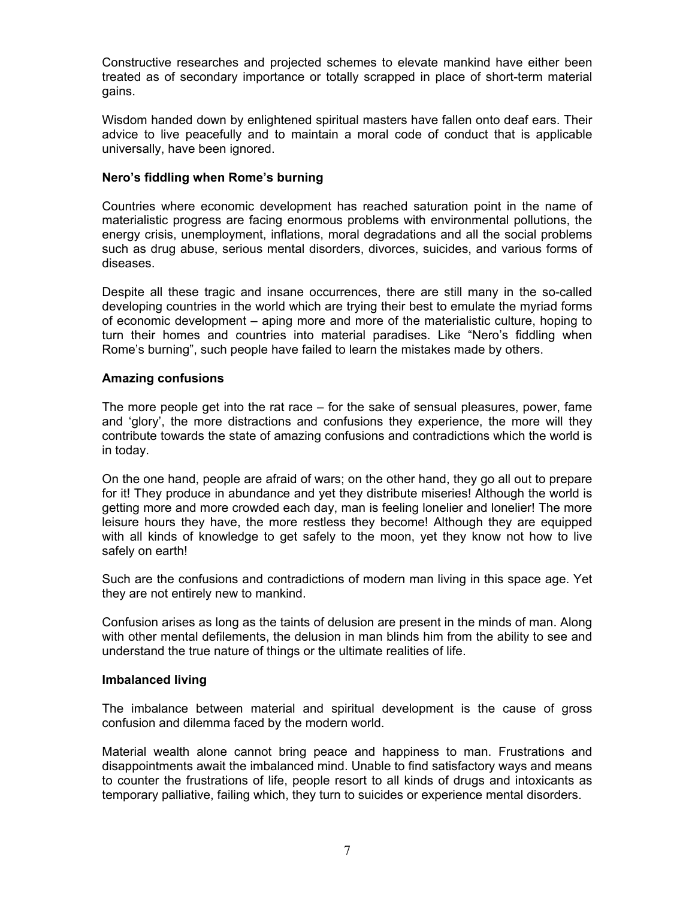Constructive researches and projected schemes to elevate mankind have either been treated as of secondary importance or totally scrapped in place of short-term material gains.

Wisdom handed down by enlightened spiritual masters have fallen onto deaf ears. Their advice to live peacefully and to maintain a moral code of conduct that is applicable universally, have been ignored.

## **Nero's fiddling when Rome's burning**

Countries where economic development has reached saturation point in the name of materialistic progress are facing enormous problems with environmental pollutions, the energy crisis, unemployment, inflations, moral degradations and all the social problems such as drug abuse, serious mental disorders, divorces, suicides, and various forms of diseases.

Despite all these tragic and insane occurrences, there are still many in the so-called developing countries in the world which are trying their best to emulate the myriad forms of economic development – aping more and more of the materialistic culture, hoping to turn their homes and countries into material paradises. Like "Nero's fiddling when Rome's burning", such people have failed to learn the mistakes made by others.

## **Amazing confusions**

The more people get into the rat race – for the sake of sensual pleasures, power, fame and 'glory', the more distractions and confusions they experience, the more will they contribute towards the state of amazing confusions and contradictions which the world is in today.

On the one hand, people are afraid of wars; on the other hand, they go all out to prepare for it! They produce in abundance and yet they distribute miseries! Although the world is getting more and more crowded each day, man is feeling lonelier and lonelier! The more leisure hours they have, the more restless they become! Although they are equipped with all kinds of knowledge to get safely to the moon, yet they know not how to live safely on earth!

Such are the confusions and contradictions of modern man living in this space age. Yet they are not entirely new to mankind.

Confusion arises as long as the taints of delusion are present in the minds of man. Along with other mental defilements, the delusion in man blinds him from the ability to see and understand the true nature of things or the ultimate realities of life.

### **Imbalanced living**

The imbalance between material and spiritual development is the cause of gross confusion and dilemma faced by the modern world.

Material wealth alone cannot bring peace and happiness to man. Frustrations and disappointments await the imbalanced mind. Unable to find satisfactory ways and means to counter the frustrations of life, people resort to all kinds of drugs and intoxicants as temporary palliative, failing which, they turn to suicides or experience mental disorders.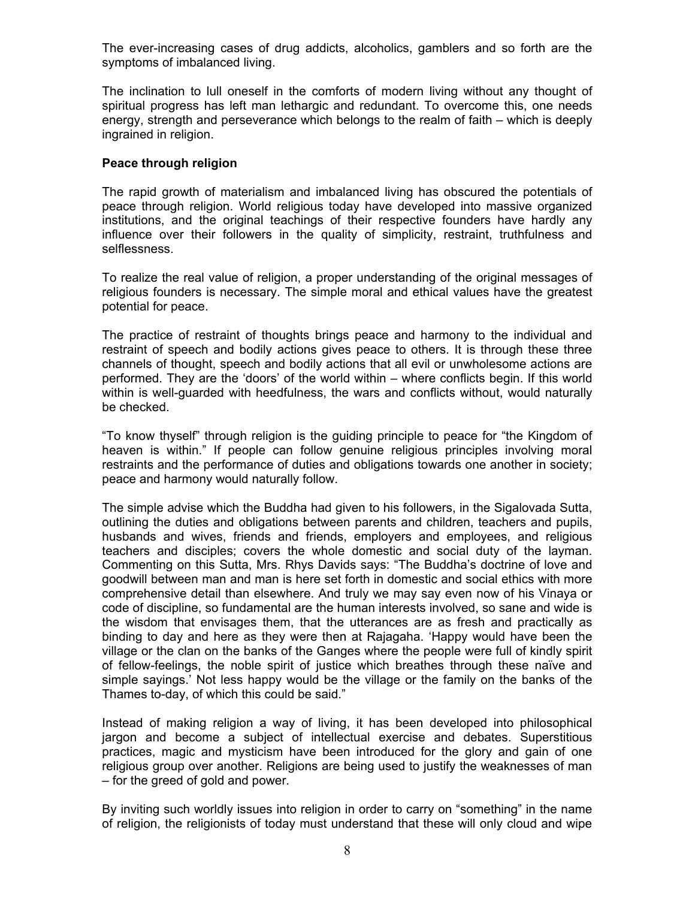The ever-increasing cases of drug addicts, alcoholics, gamblers and so forth are the symptoms of imbalanced living.

The inclination to lull oneself in the comforts of modern living without any thought of spiritual progress has left man lethargic and redundant. To overcome this, one needs energy, strength and perseverance which belongs to the realm of faith – which is deeply ingrained in religion.

## **Peace through religion**

The rapid growth of materialism and imbalanced living has obscured the potentials of peace through religion. World religious today have developed into massive organized institutions, and the original teachings of their respective founders have hardly any influence over their followers in the quality of simplicity, restraint, truthfulness and selflessness.

To realize the real value of religion, a proper understanding of the original messages of religious founders is necessary. The simple moral and ethical values have the greatest potential for peace.

The practice of restraint of thoughts brings peace and harmony to the individual and restraint of speech and bodily actions gives peace to others. It is through these three channels of thought, speech and bodily actions that all evil or unwholesome actions are performed. They are the 'doors' of the world within – where conflicts begin. If this world within is well-guarded with heedfulness, the wars and conflicts without, would naturally be checked.

"To know thyself" through religion is the guiding principle to peace for "the Kingdom of heaven is within." If people can follow genuine religious principles involving moral restraints and the performance of duties and obligations towards one another in society; peace and harmony would naturally follow.

The simple advise which the Buddha had given to his followers, in the Sigalovada Sutta, outlining the duties and obligations between parents and children, teachers and pupils, husbands and wives, friends and friends, employers and employees, and religious teachers and disciples; covers the whole domestic and social duty of the layman. Commenting on this Sutta, Mrs. Rhys Davids says: "The Buddha's doctrine of love and goodwill between man and man is here set forth in domestic and social ethics with more comprehensive detail than elsewhere. And truly we may say even now of his Vinaya or code of discipline, so fundamental are the human interests involved, so sane and wide is the wisdom that envisages them, that the utterances are as fresh and practically as binding to day and here as they were then at Rajagaha. 'Happy would have been the village or the clan on the banks of the Ganges where the people were full of kindly spirit of fellow-feelings, the noble spirit of justice which breathes through these naïve and simple sayings.' Not less happy would be the village or the family on the banks of the Thames to-day, of which this could be said."

Instead of making religion a way of living, it has been developed into philosophical jargon and become a subject of intellectual exercise and debates. Superstitious practices, magic and mysticism have been introduced for the glory and gain of one religious group over another. Religions are being used to justify the weaknesses of man – for the greed of gold and power.

By inviting such worldly issues into religion in order to carry on "something" in the name of religion, the religionists of today must understand that these will only cloud and wipe